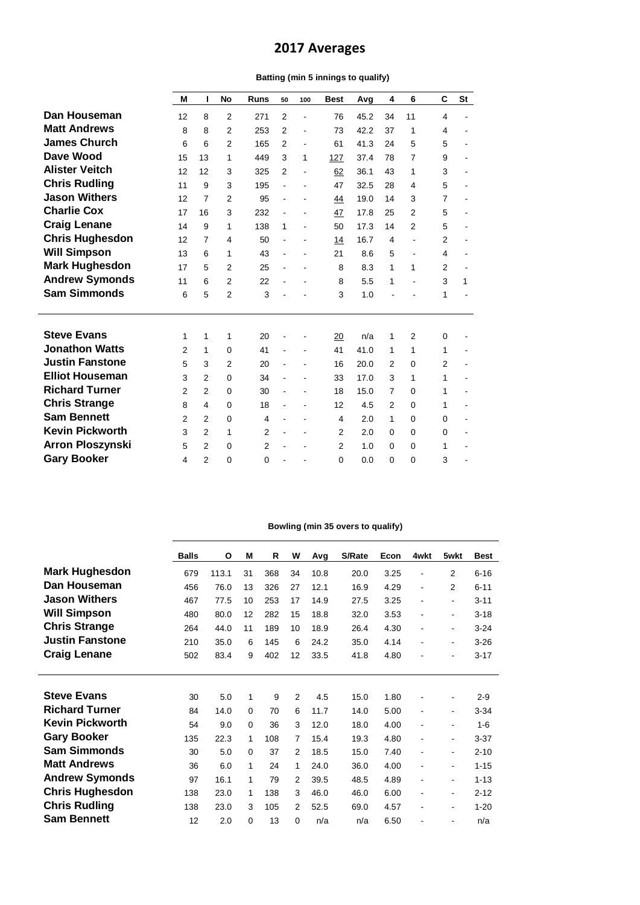## **2017 Averages**

## **Batting (min 5 innings to qualify)**

|                        | M              | ı              | No             | <b>Runs</b>    | 50             | 100                          | <b>Best</b>    | Avg  | 4              | 6              | C              | <b>St</b> |
|------------------------|----------------|----------------|----------------|----------------|----------------|------------------------------|----------------|------|----------------|----------------|----------------|-----------|
| Dan Houseman           | 12             | 8              | $\overline{2}$ | 271            | $\overline{2}$ | ä,                           | 76             | 45.2 | 34             | 11             | 4              |           |
| <b>Matt Andrews</b>    | 8              | 8              | 2              | 253            | $\overline{2}$ | ä,                           | 73             | 42.2 | 37             | 1              | 4              |           |
| <b>James Church</b>    | 6              | 6              | $\overline{2}$ | 165            | 2              | $\qquad \qquad \blacksquare$ | 61             | 41.3 | 24             | 5              | 5              | ٠         |
| Dave Wood              | 15             | 13             | 1              | 449            | 3              | 1                            | 127            | 37.4 | 78             | $\overline{7}$ | 9              |           |
| <b>Alister Veitch</b>  | 12             | 12             | 3              | 325            | $\overline{2}$ | $\overline{\phantom{a}}$     | 62             | 36.1 | 43             | 1              | 3              |           |
| <b>Chris Rudling</b>   | 11             | 9              | 3              | 195            | $\blacksquare$ |                              | 47             | 32.5 | 28             | 4              | 5              |           |
| <b>Jason Withers</b>   | 12             | 7              | $\overline{2}$ | 95             |                |                              | 44             | 19.0 | 14             | 3              | $\overline{7}$ |           |
| <b>Charlie Cox</b>     | 17             | 16             | 3              | 232            |                | ۰                            | 47             | 17.8 | 25             | $\overline{2}$ | 5              |           |
| <b>Craig Lenane</b>    | 14             | 9              | 1              | 138            | 1              |                              | 50             | 17.3 | 14             | $\overline{2}$ | 5              |           |
| <b>Chris Hughesdon</b> | 12             | 7              | 4              | 50             |                |                              | 14             | 16.7 | 4              |                | $\overline{2}$ |           |
| <b>Will Simpson</b>    | 13             | 6              | 1              | 43             |                |                              | 21             | 8.6  | 5              |                | 4              |           |
| <b>Mark Hughesdon</b>  | 17             | 5              | $\overline{2}$ | 25             |                |                              | 8              | 8.3  | 1              | 1              | $\overline{2}$ |           |
| <b>Andrew Symonds</b>  | 11             | 6              | 2              | 22             | $\blacksquare$ |                              | 8              | 5.5  | 1              | $\blacksquare$ | 3              | 1         |
| <b>Sam Simmonds</b>    | 6              | 5              | $\overline{2}$ | 3              |                |                              | 3              | 1.0  |                |                | 1              |           |
| <b>Steve Evans</b>     |                |                |                | 20             |                |                              |                | n/a  | 1              | $\overline{2}$ |                |           |
| <b>Jonathon Watts</b>  | 1<br>2         | 1<br>1         | 1<br>$\Omega$  | 41             |                |                              | 20<br>41       | 41.0 | 1              | 1              | 0<br>1         |           |
| <b>Justin Fanstone</b> | 5              | 3              | $\overline{2}$ | 20             |                |                              | 16             | 20.0 | $\overline{2}$ | $\Omega$       | $\overline{2}$ |           |
| <b>Elliot Houseman</b> | 3              | 2              | $\Omega$       | 34             |                |                              | 33             | 17.0 | 3              | 1              | 1              |           |
| <b>Richard Turner</b>  | $\overline{2}$ | 2              | $\Omega$       | 30             |                |                              | 18             | 15.0 | $\overline{7}$ | $\Omega$       | 1              |           |
| <b>Chris Strange</b>   | 8              | 4              | $\Omega$       | 18             |                |                              | 12             | 4.5  | 2              | $\Omega$       | 1              |           |
| <b>Sam Bennett</b>     | $\mathcal{P}$  | $\mathfrak{p}$ | $\Omega$       | $\overline{4}$ |                |                              | 4              | 2.0  | 1              | $\mathbf 0$    | 0              |           |
| <b>Kevin Pickworth</b> | 3              | $\mathfrak{p}$ | 1              | $\overline{2}$ |                |                              | $\overline{2}$ | 2.0  | $\Omega$       | $\Omega$       | 0              |           |
| Arron Ploszynski       | 5              | 2              | $\Omega$       | $\overline{2}$ | $\blacksquare$ | $\overline{\phantom{a}}$     | 2              | 1.0  | $\Omega$       | $\Omega$       | 1              |           |
| <b>Gary Booker</b>     | 4              | $\overline{2}$ | $\Omega$       | $\Omega$       |                |                              | 0              | 0.0  | 0              | $\mathbf 0$    | 3              |           |
|                        |                |                |                |                |                |                              |                |      |                |                |                |           |

## **Bowling (min 35 overs to qualify)**

|                        | <b>Balls</b> | O     | M           | R   | W              | Avg  | S/Rate | Econ | 4wkt           | 5wkt                     | <b>Best</b> |
|------------------------|--------------|-------|-------------|-----|----------------|------|--------|------|----------------|--------------------------|-------------|
| <b>Mark Hughesdon</b>  | 679          | 113.1 | 31          | 368 | 34             | 10.8 | 20.0   | 3.25 | ٠              | 2                        | $6 - 16$    |
| Dan Houseman           | 456          | 76.0  | 13          | 326 | 27             | 12.1 | 16.9   | 4.29 | $\blacksquare$ | 2                        | $6 - 11$    |
| <b>Jason Withers</b>   | 467          | 77.5  | 10          | 253 | 17             | 14.9 | 27.5   | 3.25 | ٠              | $\blacksquare$           | $3 - 11$    |
| <b>Will Simpson</b>    | 480          | 80.0  | 12          | 282 | 15             | 18.8 | 32.0   | 3.53 | ۰              | $\blacksquare$           | $3 - 18$    |
| <b>Chris Strange</b>   | 264          | 44.0  | 11          | 189 | 10             | 18.9 | 26.4   | 4.30 | $\blacksquare$ | $\overline{\phantom{a}}$ | $3 - 24$    |
| <b>Justin Fanstone</b> | 210          | 35.0  | 6           | 145 | 6              | 24.2 | 35.0   | 4.14 | ٠              | $\blacksquare$           | $3 - 26$    |
| <b>Craig Lenane</b>    | 502          | 83.4  | 9           | 402 | 12             | 33.5 | 41.8   | 4.80 | ۰              | $\overline{\phantom{0}}$ | $3 - 17$    |
|                        |              |       |             |     |                |      |        |      |                |                          |             |
|                        |              |       |             |     |                |      |        |      |                |                          |             |
| <b>Steve Evans</b>     | 30           | 5.0   | 1           | 9   | 2              | 4.5  | 15.0   | 1.80 | $\overline{a}$ | $\overline{\phantom{a}}$ | $2 - 9$     |
| <b>Richard Turner</b>  | 84           | 14.0  | $\mathbf 0$ | 70  | 6              | 11.7 | 14.0   | 5.00 | $\overline{a}$ | $\blacksquare$           | $3 - 34$    |
| <b>Kevin Pickworth</b> | 54           | 9.0   | $\mathbf 0$ | 36  | 3              | 12.0 | 18.0   | 4.00 | $\blacksquare$ | $\overline{\phantom{0}}$ | $1 - 6$     |
| <b>Gary Booker</b>     | 135          | 22.3  | 1           | 108 | $\overline{7}$ | 15.4 | 19.3   | 4.80 | ٠              | $\blacksquare$           | $3 - 37$    |
| <b>Sam Simmonds</b>    | 30           | 5.0   | $\Omega$    | 37  | 2              | 18.5 | 15.0   | 7.40 | $\blacksquare$ | $\blacksquare$           | $2 - 10$    |
| <b>Matt Andrews</b>    | 36           | 6.0   | 1           | 24  | 1              | 24.0 | 36.0   | 4.00 | $\blacksquare$ | $\blacksquare$           | $1 - 15$    |
| <b>Andrew Symonds</b>  | 97           | 16.1  | 1           | 79  | 2              | 39.5 | 48.5   | 4.89 | ۰              | $\blacksquare$           | $1 - 13$    |
| <b>Chris Hughesdon</b> | 138          | 23.0  | 1           | 138 | 3              | 46.0 | 46.0   | 6.00 | $\blacksquare$ | $\blacksquare$           | $2 - 12$    |
| <b>Chris Rudling</b>   | 138          | 23.0  | 3           | 105 | 2              | 52.5 | 69.0   | 4.57 | ٠              | $\blacksquare$           | $1 - 20$    |
| <b>Sam Bennett</b>     | 12           | 2.0   | 0           | 13  | $\Omega$       | n/a  | n/a    | 6.50 |                |                          | n/a         |